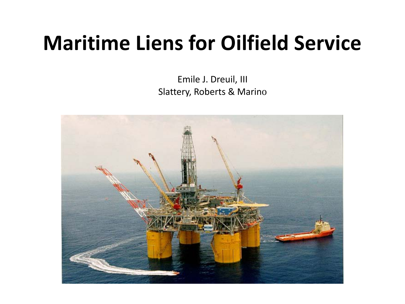# **Maritime Liens for Oilfield Service**

Emile J. Dreuil, III Slattery, Roberts & Marino

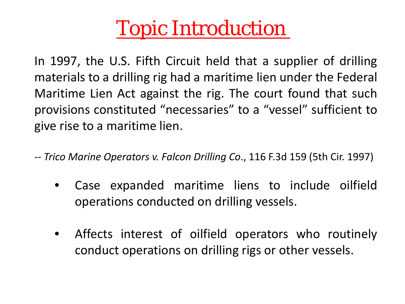# Topic Introduction

In 1997, the U.S. Fifth Circuit held that a supplier of drilling materials to a drilling rig had a maritime lien under the Federal Maritime Lien Act against the rig. The court found that such provisions constituted "necessaries" to a "vessel" sufficient to give rise to a maritime lien.

- *-- Trico Marine Operators v. Falcon Drilling Co*., 116 F.3d 159 (5th Cir. 1997)
	- Case expanded maritime liens to include oilfield operations conducted on drilling vessels.
	- Affects interest of oilfield operators who routinely conduct operations on drilling rigs or other vessels.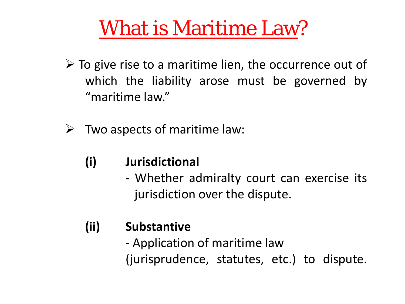- $\triangleright$  To give rise to a maritime lien, the occurrence out of which the liability arose must be governed by "maritime law."
- $\triangleright$  Two aspects of maritime law:
	- **(i) Jurisdictional**
		- Whether admiralty court can exercise its jurisdiction over the dispute.

### **(ii) Substantive**

- Application of maritime law (jurisprudence, statutes, etc.) to dispute.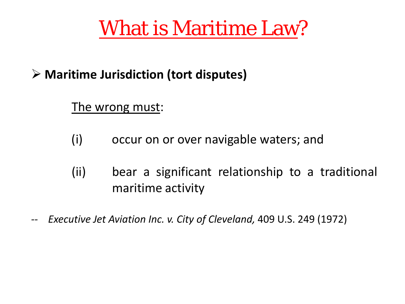### **Maritime Jurisdiction (tort disputes)**

#### The wrong must:

- (i) occur on or over navigable waters; and
- (ii) bear a significant relationship to a traditional maritime activity
- *-- Executive Jet Aviation Inc. v. City of Cleveland,* 409 U.S. 249 (1972)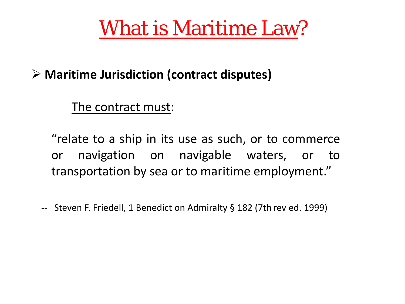### **Maritime Jurisdiction (contract disputes)**

The contract must:

"relate to a ship in its use as such, or to commerce or navigation on navigable waters, or to transportation by sea or to maritime employment."

-- Steven F. Friedell, 1 Benedict on Admiralty § 182 (7th rev ed. 1999)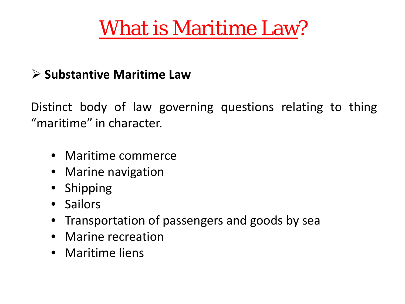### **Substantive Maritime Law**

Distinct body of law governing questions relating to thing "maritime" in character.

- Maritime commerce
- Marine navigation
- Shipping
- Sailors
- Transportation of passengers and goods by sea
- Marine recreation
- Maritime liens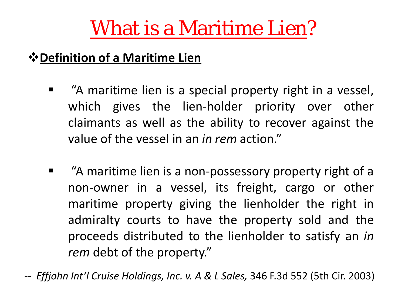### **Definition of a Maritime Lien**

- **E** "A maritime lien is a special property right in a vessel, which gives the lien-holder priority over other claimants as well as the ability to recover against the value of the vessel in an *in rem* action."
- **EXTA maritime lien is a non-possessory property right of a** non-owner in a vessel, its freight, cargo or other maritime property giving the lienholder the right in admiralty courts to have the property sold and the proceeds distributed to the lienholder to satisfy an *in rem* debt of the property."

*-- Effjohn Int'l Cruise Holdings, Inc. v. A & L Sales,* 346 F.3d 552 (5th Cir. 2003)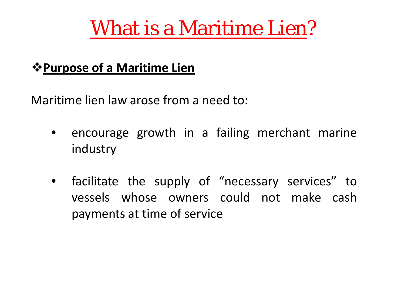### *<u><b>\** Purpose of a Maritime Lien</u>

Maritime lien law arose from a need to:

- encourage growth in a failing merchant marine industry
- facilitate the supply of "necessary services" to vessels whose owners could not make cash payments at time of service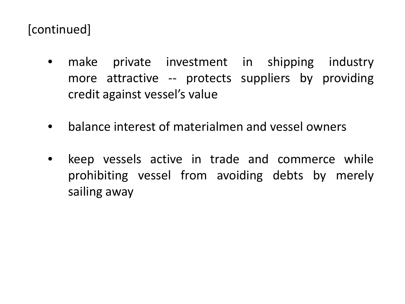### [continued]

- make private investment in shipping industry more attractive -- protects suppliers by providing credit against vessel's value
- balance interest of materialmen and vessel owners
- keep vessels active in trade and commerce while prohibiting vessel from avoiding debts by merely sailing away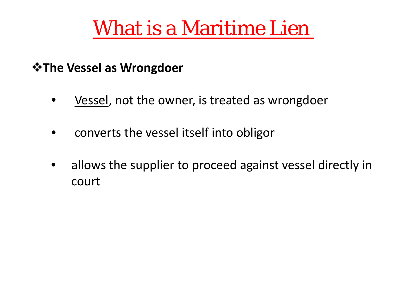#### *<b>☆The Vessel as Wrongdoer*

- Vessel, not the owner, is treated as wrongdoer
- converts the vessel itself into obligor
- allows the supplier to proceed against vessel directly in court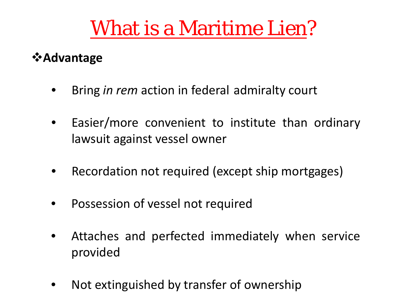#### **<sup>❖</sup> Advantage**

- Bring *in rem* action in federal admiralty court
- Easier/more convenient to institute than ordinary lawsuit against vessel owner
- Recordation not required (except ship mortgages)
- Possession of vessel not required
- Attaches and perfected immediately when service provided
- Not extinguished by transfer of ownership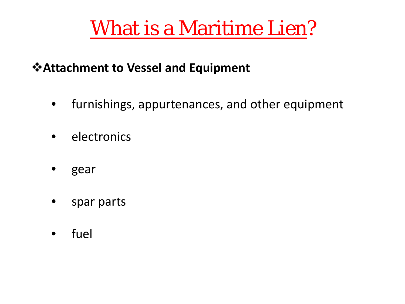### **Attachment to Vessel and Equipment**

- furnishings, appurtenances, and other equipment
- **electronics**
- gear
- spar parts
- fuel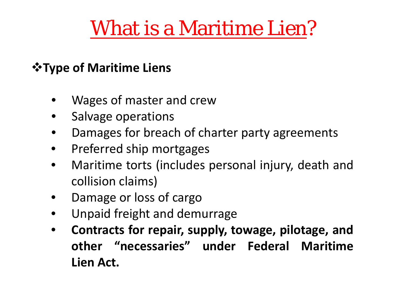### *<u><b>\*Type of Maritime Liens</u>*</u>

- Wages of master and crew
- Salvage operations
- Damages for breach of charter party agreements
- Preferred ship mortgages
- Maritime torts (includes personal injury, death and collision claims)
- Damage or loss of cargo
- Unpaid freight and demurrage
- **Contracts for repair, supply, towage, pilotage, and other "necessaries" under Federal Maritime Lien Act.**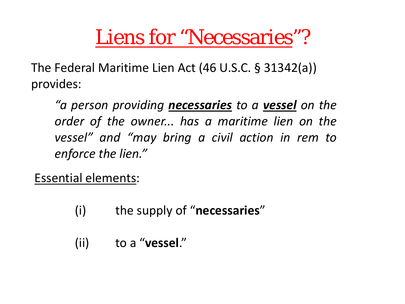The Federal Maritime Lien Act (46 U.S.C. § 31342(a)) provides:

*"a person providing necessaries to a vessel on the order of the owner... has a maritime lien on the vessel" and "may bring a civil action in rem to enforce the lien."*

Essential elements:

- (i) the supply of "**necessaries**"
- (ii) to a "**vessel**."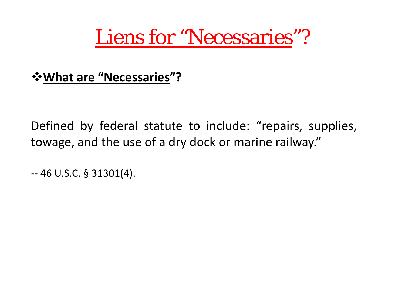**What are "Necessaries"?** 

Defined by federal statute to include: "repairs, supplies, towage, and the use of a dry dock or marine railway."

-- 46 U.S.C. § 31301(4).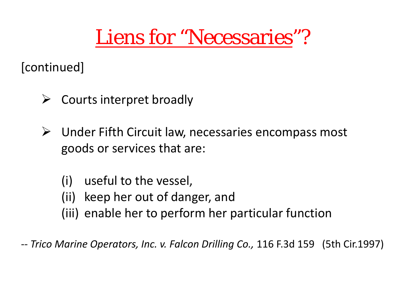[continued]

- $\triangleright$  Courts interpret broadly
- $\triangleright$  Under Fifth Circuit law, necessaries encompass most goods or services that are:
	- (i) useful to the vessel,
	- (ii) keep her out of danger, and
	- (iii) enable her to perform her particular function

*-- Trico Marine Operators, Inc. v. Falcon Drilling Co.,* 116 F.3d 159 (5th Cir.1997)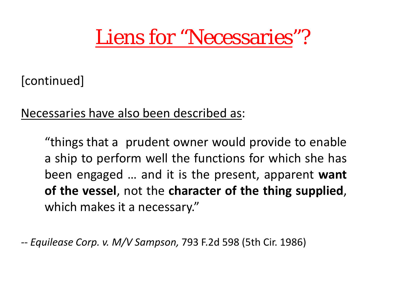[continued]

Necessaries have also been described as:

"things that a prudent owner would provide to enable a ship to perform well the functions for which she has been engaged … and it is the present, apparent **want of the vessel**, not the **character of the thing supplied**, which makes it a necessary."

*-- Equilease Corp. v. M/V Sampson,* 793 F.2d 598 (5th Cir. 1986)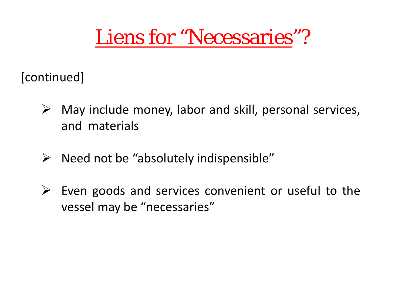[continued]

- $\triangleright$  May include money, labor and skill, personal services, and materials
- $\triangleright$  Need not be "absolutely indispensible"
- $\triangleright$  Even goods and services convenient or useful to the vessel may be "necessaries"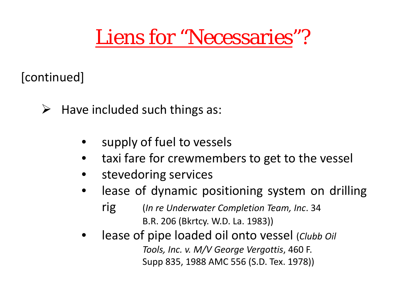[continued]

- $\triangleright$  Have included such things as:
	- supply of fuel to vessels
	- taxi fare for crewmembers to get to the vessel
	- stevedoring services
	- lease of dynamic positioning system on drilling rig (*In re Underwater Completion Team, Inc*. 34 B.R. 206 (Bkrtcy. W.D. La. 1983))
	- lease of pipe loaded oil onto vessel (*Clubb Oil Tools, Inc. v. M/V George Vergottis*, 460 F. Supp 835, 1988 AMC 556 (S.D. Tex. 1978))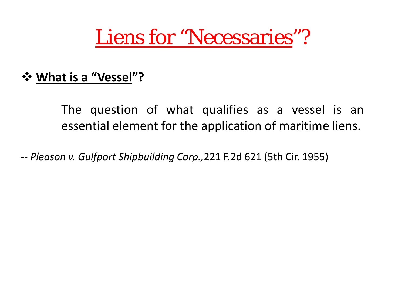#### **What is a "Vessel"?**

The question of what qualifies as a vessel is an essential element for the application of maritime liens.

-- *Pleason v. Gulfport Shipbuilding Corp.,*221 F.2d 621 (5th Cir. 1955)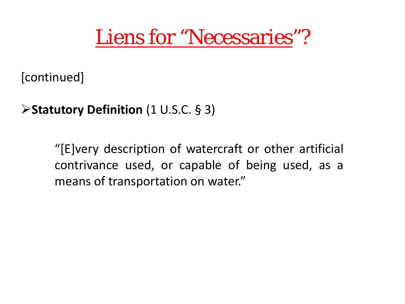[continued]

**Statutory Definition** (1 U.S.C. § 3)

"[E]very description of watercraft or other artificial contrivance used, or capable of being used, as a means of transportation on water."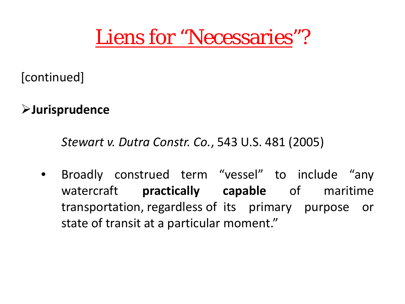[continued]

**Jurisprudence** 

*Stewart v. Dutra Constr. Co.*, 543 U.S. 481 (2005)

• Broadly construed term "vessel" to include "any watercraft **practically capable** of maritime transportation, regardless of its primary purpose or state of transit at a particular moment."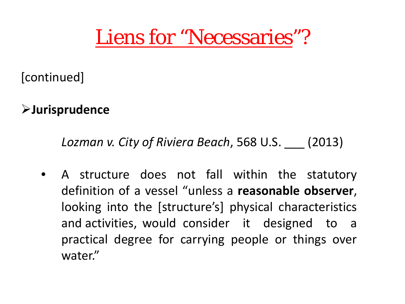[continued]

**Jurisprudence** 

*Lozman v. City of Riviera Beach*, 568 U.S. \_\_\_ (2013)

• A structure does not fall within the statutory definition of a vessel "unless a **reasonable observer**, looking into the [structure's] physical characteristics and activities, would consider it designed to a practical degree for carrying people or things over water."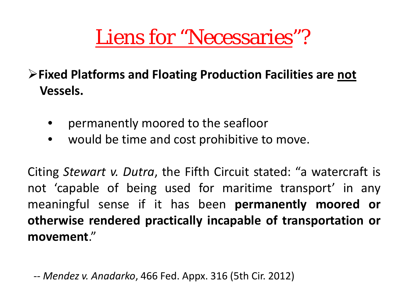**Fixed Platforms and Floating Production Facilities are not Vessels.**

- permanently moored to the seafloor
- would be time and cost prohibitive to move.

Citing *Stewart v. Dutra*, the Fifth Circuit stated: "a watercraft is not 'capable of being used for maritime transport' in any meaningful sense if it has been **permanently moored or otherwise rendered practically incapable of transportation or movement**."

*-- Mendez v. Anadarko*, 466 Fed. Appx. 316 (5th Cir. 2012)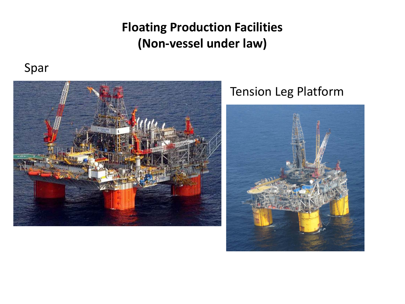### **Floating Production Facilities (Non-vessel under law)**

#### Spar



### Tension Leg Platform

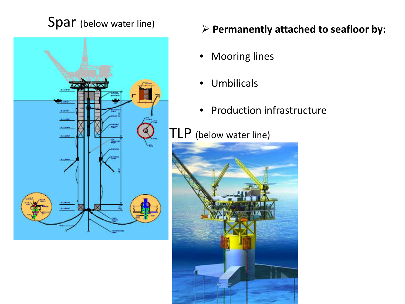

### Spar (below water line)  $\triangleright$  Permanently attached to seafloor by:

- Mooring lines
- Umbilicals
- Production infrastructure

### **TLP** (below water line)

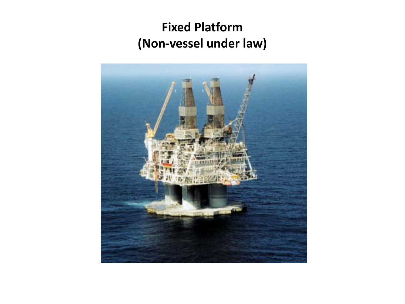### **Fixed Platform (Non-vessel under law)**

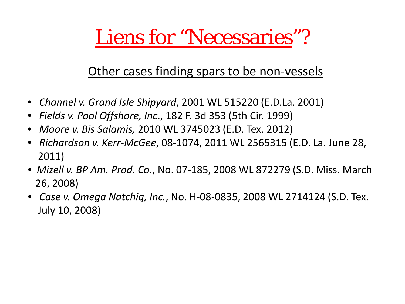### Other cases finding spars to be non-vessels

- • *Channel v. Grand Isle Shipyard*, 2001 WL 515220 (E.D.La. 2001)
- • *Fields v. Pool Offshore, Inc*., 182 F. 3d 353 (5th Cir. 1999)
- • *Moore v. Bis Salamis,* 2010 WL 3745023 (E.D. Tex. 2012)
- • *Richardson v. Kerr-McGee*, 08-1074, 2011 WL 2565315 (E.D. La. June 28, 2011)
- • *Mizell v. BP Am. Prod. Co*., No. 07-185, 2008 WL 872279 (S.D. Miss. March 26, 2008)
- • *Case v. Omega Natchiq, Inc.*, No. H-08-0835, 2008 WL 2714124 (S.D. Tex. July 10, 2008)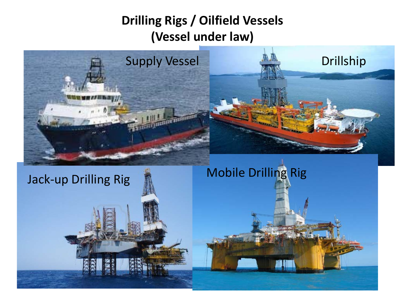### **Drilling Rigs / Oilfield Vessels (Vessel under law)**

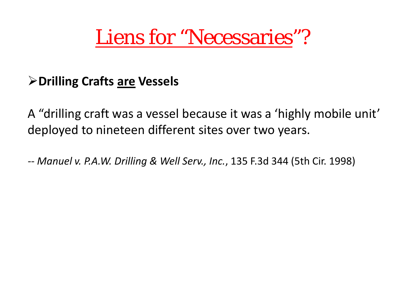#### **Drilling Crafts are Vessels**

A "drilling craft was a vessel because it was a 'highly mobile unit' deployed to nineteen different sites over two years.

*-- Manuel v. P.A.W. Drilling & Well Serv., Inc.*, 135 F.3d 344 (5th Cir. 1998)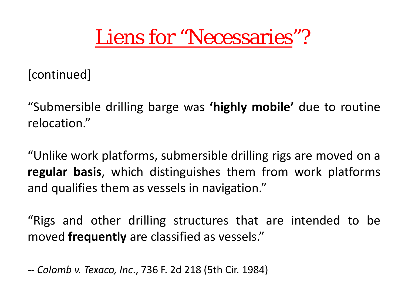[continued]

"Submersible drilling barge was **'highly mobile'** due to routine relocation."

"Unlike work platforms, submersible drilling rigs are moved on a **regular basis**, which distinguishes them from work platforms and qualifies them as vessels in navigation."

"Rigs and other drilling structures that are intended to be moved **frequently** are classified as vessels."

*-- Colomb v. Texaco, Inc*., 736 F. 2d 218 (5th Cir. 1984)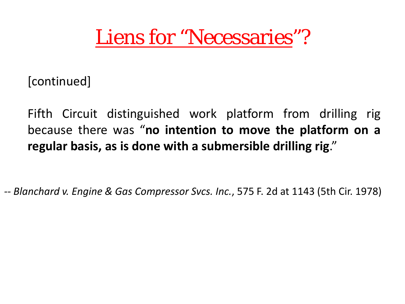[continued]

Fifth Circuit distinguished work platform from drilling rig because there was "**no intention to move the platform on a regular basis, as is done with a submersible drilling rig**."

*-- Blanchard v. Engine & Gas Compressor Svcs. Inc.*, 575 F. 2d at 1143 (5th Cir. 1978)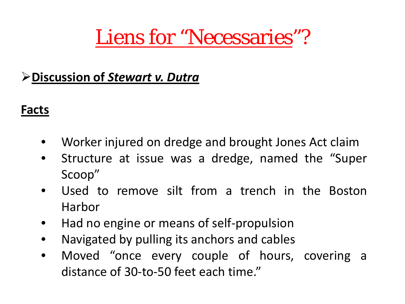### **Discussion of** *Stewart v. Dutra*

#### **Facts**

- Worker injured on dredge and brought Jones Act claim
- Structure at issue was a dredge, named the "Super Scoop"
- Used to remove silt from a trench in the Boston Harbor
- Had no engine or means of self-propulsion
- Navigated by pulling its anchors and cables
- Moved "once every couple of hours, covering a distance of 30-to-50 feet each time."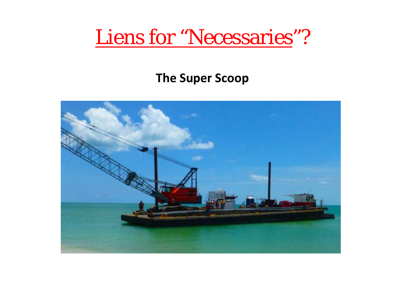#### **The Super Scoop**

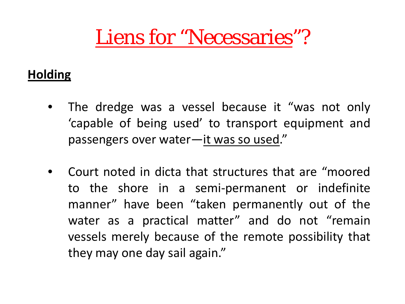### **Holding**

- The dredge was a vessel because it "was not only 'capable of being used' to transport equipment and passengers over water—it was so used."
- Court noted in dicta that structures that are "moored to the shore in a semi-permanent or indefinite manner" have been "taken permanently out of the water as a practical matter" and do not "remain vessels merely because of the remote possibility that they may one day sail again."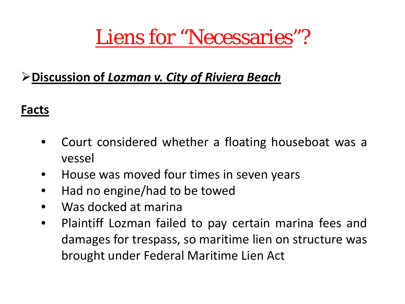### **Discussion of** *Lozman v. City of Riviera Beach*

### **Facts**

- Court considered whether a floating houseboat was a vessel
- House was moved four times in seven years
- Had no engine/had to be towed
- Was docked at marina
- Plaintiff Lozman failed to pay certain marina fees and damages for trespass, so maritime lien on structure was brought under Federal Maritime Lien Act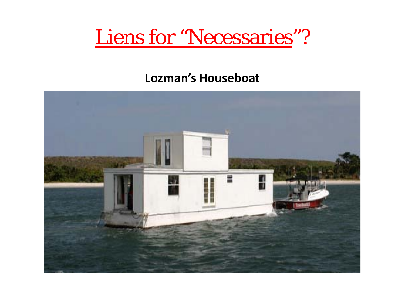#### **Lozman's Houseboat**

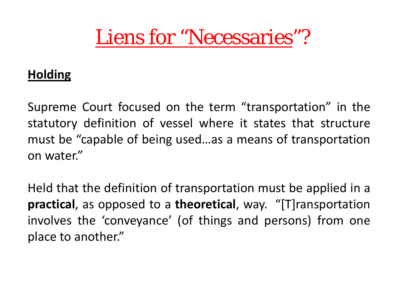#### **Holding**

Supreme Court focused on the term "transportation" in the statutory definition of vessel where it states that structure must be "capable of being used…as a means of transportation on water."

Held that the definition of transportation must be applied in a **practical**, as opposed to a **theoretical**, way. "[T]ransportation involves the 'conveyance' (of things and persons) from one place to another."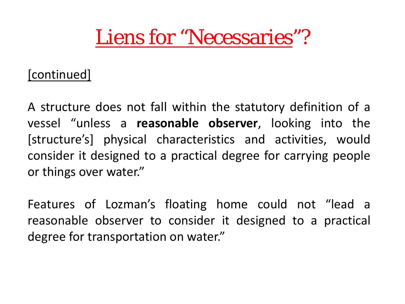#### [continued]

A structure does not fall within the statutory definition of a vessel "unless a **reasonable observer**, looking into the [structure's] physical characteristics and activities, would consider it designed to a practical degree for carrying people or things over water."

Features of Lozman's floating home could not "lead a reasonable observer to consider it designed to a practical degree for transportation on water."